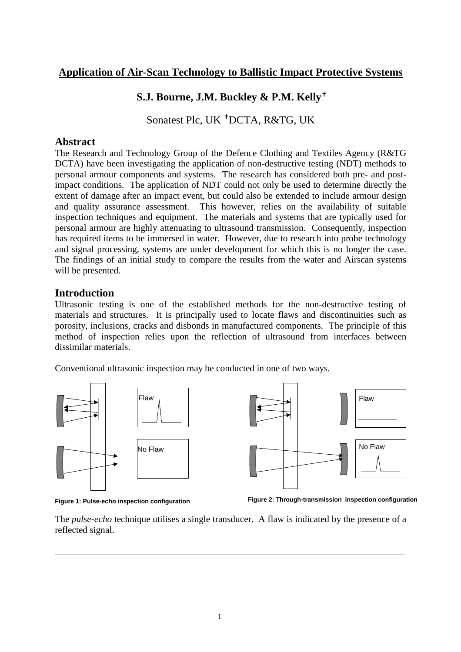# **Application of Air-Scan Technology to Ballistic Impact Protective Systems**

# **S.J. Bourne, J.M. Buckley & P.M. Kelly<sup>↑</sup>**

Sonatest Plc, UK ✝ DCTA, R&TG, UK

## **Abstract**

The Research and Technology Group of the Defence Clothing and Textiles Agency (R&TG DCTA) have been investigating the application of non-destructive testing (NDT) methods to personal armour components and systems. The research has considered both pre- and postimpact conditions. The application of NDT could not only be used to determine directly the extent of damage after an impact event, but could also be extended to include armour design and quality assurance assessment. This however, relies on the availability of suitable inspection techniques and equipment. The materials and systems that are typically used for personal armour are highly attenuating to ultrasound transmission. Consequently, inspection has required items to be immersed in water. However, due to research into probe technology and signal processing, systems are under development for which this is no longer the case. The findings of an initial study to compare the results from the water and Airscan systems will be presented.

## **Introduction**

Ultrasonic testing is one of the established methods for the non-destructive testing of materials and structures. It is principally used to locate flaws and discontinuities such as porosity, inclusions, cracks and disbonds in manufactured components. The principle of this method of inspection relies upon the reflection of ultrasound from interfaces between dissimilar materials.

Conventional ultrasonic inspection may be conducted in one of two ways.



**Figure 1: Pulse-echo inspection configuration**

**Figure 2: Through-transmission inspection configuration**

The *pulse-echo* technique utilises a single transducer. A flaw is indicated by the presence of a reflected signal.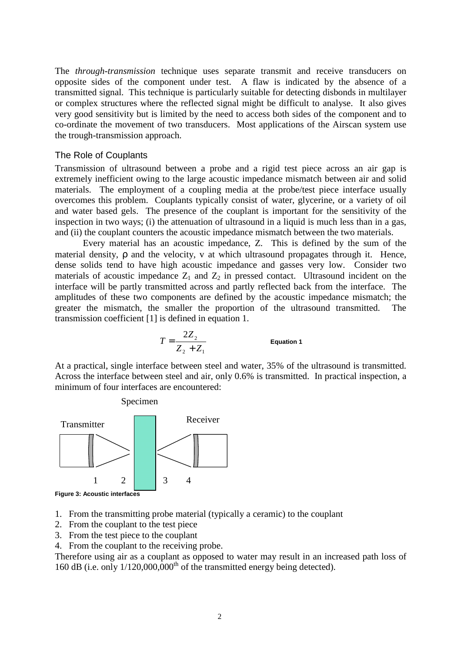The *through-transmission* technique uses separate transmit and receive transducers on opposite sides of the component under test. A flaw is indicated by the absence of a transmitted signal. This technique is particularly suitable for detecting disbonds in multilayer or complex structures where the reflected signal might be difficult to analyse. It also gives very good sensitivity but is limited by the need to access both sides of the component and to co-ordinate the movement of two transducers. Most applications of the Airscan system use the trough-transmission approach.

#### The Role of Couplants

Transmission of ultrasound between a probe and a rigid test piece across an air gap is extremely inefficient owing to the large acoustic impedance mismatch between air and solid materials. The employment of a coupling media at the probe/test piece interface usually overcomes this problem. Couplants typically consist of water, glycerine, or a variety of oil and water based gels. The presence of the couplant is important for the sensitivity of the inspection in two ways; (i) the attenuation of ultrasound in a liquid is much less than in a gas, and (ii) the couplant counters the acoustic impedance mismatch between the two materials.

Every material has an acoustic impedance, Z. This is defined by the sum of the material density, ρ and the velocity, v at which ultrasound propagates through it. Hence, dense solids tend to have high acoustic impedance and gasses very low. Consider two materials of acoustic impedance  $Z_1$  and  $Z_2$  in pressed contact. Ultrasound incident on the interface will be partly transmitted across and partly reflected back from the interface. The amplitudes of these two components are defined by the acoustic impedance mismatch; the greater the mismatch, the smaller the proportion of the ultrasound transmitted. The transmission coefficient [1] is defined in equation 1.

$$
T = \frac{2Z_2}{Z_2 + Z_1}
$$
 Equation 1

At a practical, single interface between steel and water, 35% of the ultrasound is transmitted. Across the interface between steel and air, only 0.6% is transmitted. In practical inspection, a minimum of four interfaces are encountered:



- 1. From the transmitting probe material (typically a ceramic) to the couplant
- 2. From the couplant to the test piece
- 3. From the test piece to the couplant
- 4. From the couplant to the receiving probe.

Therefore using air as a couplant as opposed to water may result in an increased path loss of 160 dB (i.e. only 1/120,000,000<sup>th</sup> of the transmitted energy being detected).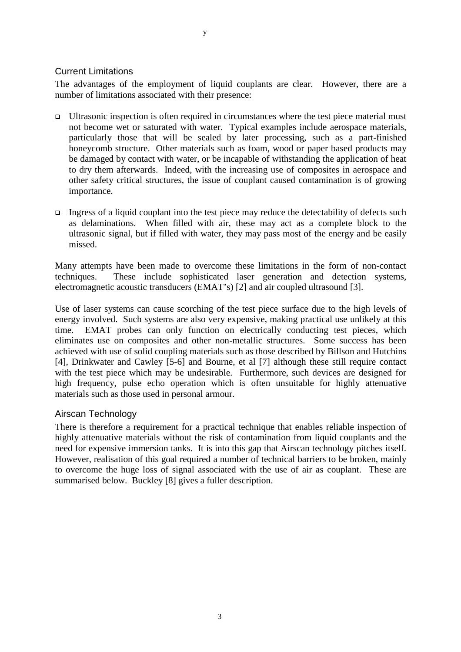### Current Limitations

The advantages of the employment of liquid couplants are clear. However, there are a number of limitations associated with their presence:

- $\Box$  Ultrasonic inspection is often required in circumstances where the test piece material must not become wet or saturated with water. Typical examples include aerospace materials, particularly those that will be sealed by later processing, such as a part-finished honeycomb structure. Other materials such as foam, wood or paper based products may be damaged by contact with water, or be incapable of withstanding the application of heat to dry them afterwards. Indeed, with the increasing use of composites in aerospace and other safety critical structures, the issue of couplant caused contamination is of growing importance.
- Ingress of a liquid couplant into the test piece may reduce the detectability of defects such as delaminations. When filled with air, these may act as a complete block to the ultrasonic signal, but if filled with water, they may pass most of the energy and be easily missed.

Many attempts have been made to overcome these limitations in the form of non-contact techniques. These include sophisticated laser generation and detection systems, electromagnetic acoustic transducers (EMAT's) [2] and air coupled ultrasound [3].

Use of laser systems can cause scorching of the test piece surface due to the high levels of energy involved. Such systems are also very expensive, making practical use unlikely at this time. EMAT probes can only function on electrically conducting test pieces, which eliminates use on composites and other non-metallic structures. Some success has been achieved with use of solid coupling materials such as those described by Billson and Hutchins [4], Drinkwater and Cawley [5-6] and Bourne, et al [7] although these still require contact with the test piece which may be undesirable. Furthermore, such devices are designed for high frequency, pulse echo operation which is often unsuitable for highly attenuative materials such as those used in personal armour.

### Airscan Technology

There is therefore a requirement for a practical technique that enables reliable inspection of highly attenuative materials without the risk of contamination from liquid couplants and the need for expensive immersion tanks. It is into this gap that Airscan technology pitches itself. However, realisation of this goal required a number of technical barriers to be broken, mainly to overcome the huge loss of signal associated with the use of air as couplant. These are summarised below. Buckley [8] gives a fuller description.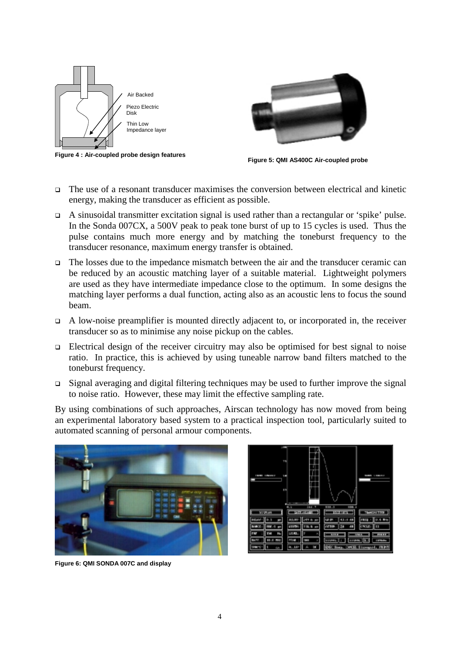

**Figure 4 : Air-coupled probe design features**



**Figure 5: QMI AS400C Air-coupled probe**

- The use of a resonant transducer maximises the conversion between electrical and kinetic energy, making the transducer as efficient as possible.
- $\Box$  A sinusoidal transmitter excitation signal is used rather than a rectangular or 'spike' pulse. In the Sonda 007CX, a 500V peak to peak tone burst of up to 15 cycles is used. Thus the pulse contains much more energy and by matching the toneburst frequency to the transducer resonance, maximum energy transfer is obtained.
- The losses due to the impedance mismatch between the air and the transducer ceramic can be reduced by an acoustic matching layer of a suitable material. Lightweight polymers are used as they have intermediate impedance close to the optimum. In some designs the matching layer performs a dual function, acting also as an acoustic lens to focus the sound beam.
- $\Box$  A low-noise preamplifier is mounted directly adjacent to, or incorporated in, the receiver transducer so as to minimise any noise pickup on the cables.
- $\Box$  Electrical design of the receiver circuitry may also be optimised for best signal to noise ratio. In practice, this is achieved by using tuneable narrow band filters matched to the toneburst frequency.
- $\Box$  Signal averaging and digital filtering techniques may be used to further improve the signal to noise ratio. However, these may limit the effective sampling rate.

By using combinations of such approaches, Airscan technology has now moved from being an experimental laboratory based system to a practical inspection tool, particularly suited to automated scanning of personal armour components.





**Figure 6: QMI SONDA 007C and display**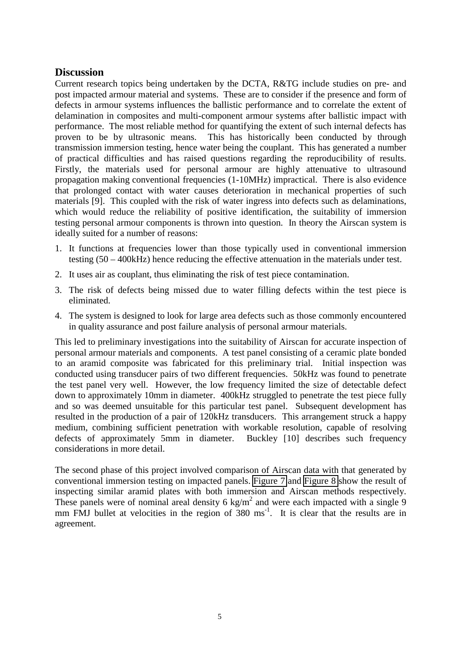## **Discussion**

Current research topics being undertaken by the DCTA, R&TG include studies on pre- and post impacted armour material and systems. These are to consider if the presence and form of defects in armour systems influences the ballistic performance and to correlate the extent of delamination in composites and multi-component armour systems after ballistic impact with performance. The most reliable method for quantifying the extent of such internal defects has proven to be by ultrasonic means. This has historically been conducted by through transmission immersion testing, hence water being the couplant. This has generated a number of practical difficulties and has raised questions regarding the reproducibility of results. Firstly, the materials used for personal armour are highly attenuative to ultrasound propagation making conventional frequencies (1-10MHz) impractical. There is also evidence that prolonged contact with water causes deterioration in mechanical properties of such materials [9]. This coupled with the risk of water ingress into defects such as delaminations, which would reduce the reliability of positive identification, the suitability of immersion testing personal armour components is thrown into question. In theory the Airscan system is ideally suited for a number of reasons:

- 1. It functions at frequencies lower than those typically used in conventional immersion testing (50 – 400kHz) hence reducing the effective attenuation in the materials under test.
- 2. It uses air as couplant, thus eliminating the risk of test piece contamination.
- 3. The risk of defects being missed due to water filling defects within the test piece is eliminated.
- 4. The system is designed to look for large area defects such as those commonly encountered in quality assurance and post failure analysis of personal armour materials.

This led to preliminary investigations into the suitability of Airscan for accurate inspection of personal armour materials and components. A test panel consisting of a ceramic plate bonded to an aramid composite was fabricated for this preliminary trial. Initial inspection was conducted using transducer pairs of two different frequencies. 50kHz was found to penetrate the test panel very well. However, the low frequency limited the size of detectable defect down to approximately 10mm in diameter. 400kHz struggled to penetrate the test piece fully and so was deemed unsuitable for this particular test panel. Subsequent development has resulted in the production of a pair of 120kHz transducers. This arrangement struck a happy medium, combining sufficient penetration with workable resolution, capable of resolving defects of approximately 5mm in diameter. Buckley [10] describes such frequency considerations in more detail.

The second phase of this project involved comparison of Airscan data with that generated by conventional immersion testing on impacted panels. [Figure 7](#page-5-0) and [Figure 8](#page-5-0) show the result of inspecting similar aramid plates with both immersion and Airscan methods respectively. These panels were of nominal areal density 6 kg/m<sup>2</sup> and were each impacted with a single 9 mm FMJ bullet at velocities in the region of 380 ms<sup>-1</sup>. It is clear that the results are in agreement.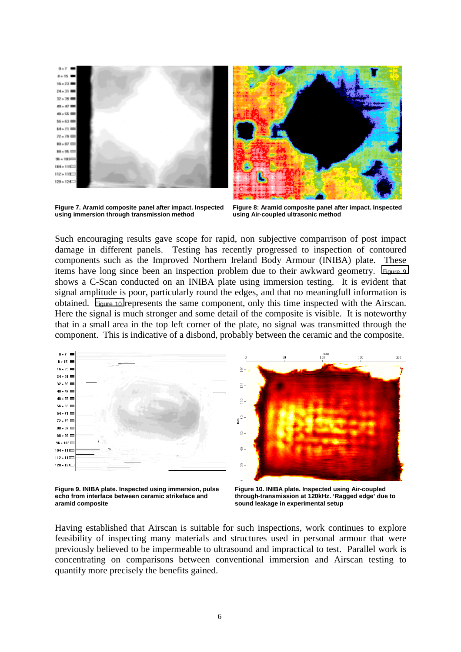<span id="page-5-0"></span>

**Figure 7. Aramid composite panel after impact. Inspected using immersion through transmission method**



**Figure 8: Aramid composite panel after impact. Inspected using Air-coupled ultrasonic method**

Such encouraging results gave scope for rapid, non subjective comparrison of post impact damage in different panels. Testing has recently progressed to inspection of contoured components such as the Improved Northern Ireland Body Armour (INIBA) plate. These items have long since been an inspection problem due to their awkward geometry. Figure 9 shows a C-Scan conducted on an INIBA plate using immersion testing. It is evident that signal amplitude is poor, particularly round the edges, and that no meaningfull information is obtained. Figure 10 represents the same component, only this time inspected with the Airscan. Here the signal is much stronger and some detail of the composite is visible. It is noteworthy that in a small area in the top left corner of the plate, no signal was transmitted through the component. This is indicative of a disbond, probably between the ceramic and the composite.



**Figure 9. INIBA plate. Inspected using immersion, pulse echo from interface between ceramic strikeface and aramid composite**

**Figure 10. INIBA plate. Inspected using Air-coupled through-transmission at 120kHz. 'Ragged edge' due to sound leakage in experimental setup**

Having established that Airscan is suitable for such inspections, work continues to explore feasibility of inspecting many materials and structures used in personal armour that were previously believed to be impermeable to ultrasound and impractical to test. Parallel work is concentrating on comparisons between conventional immersion and Airscan testing to quantify more precisely the benefits gained.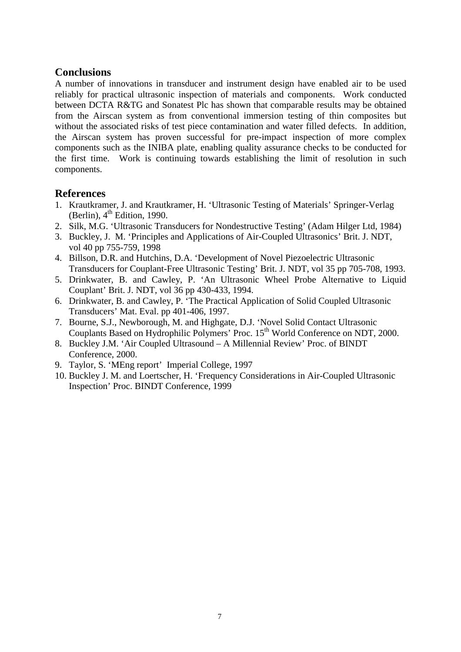## **Conclusions**

A number of innovations in transducer and instrument design have enabled air to be used reliably for practical ultrasonic inspection of materials and components. Work conducted between DCTA R&TG and Sonatest Plc has shown that comparable results may be obtained from the Airscan system as from conventional immersion testing of thin composites but without the associated risks of test piece contamination and water filled defects. In addition, the Airscan system has proven successful for pre-impact inspection of more complex components such as the INIBA plate, enabling quality assurance checks to be conducted for the first time. Work is continuing towards establishing the limit of resolution in such components.

## **References**

- 1. Krautkramer, J. and Krautkramer, H. 'Ultrasonic Testing of Materials' Springer-Verlag (Berlin),  $4<sup>th</sup>$  Edition, 1990.
- 2. Silk, M.G. 'Ultrasonic Transducers for Nondestructive Testing' (Adam Hilger Ltd, 1984)
- 3. Buckley, J. M. 'Principles and Applications of Air-Coupled Ultrasonics' Brit. J. NDT, vol 40 pp 755-759, 1998
- 4. Billson, D.R. and Hutchins, D.A. 'Development of Novel Piezoelectric Ultrasonic Transducers for Couplant-Free Ultrasonic Testing' Brit. J. NDT, vol 35 pp 705-708, 1993.
- 5. Drinkwater, B. and Cawley, P. 'An Ultrasonic Wheel Probe Alternative to Liquid Couplant' Brit. J. NDT, vol 36 pp 430-433, 1994.
- 6. Drinkwater, B. and Cawley, P. 'The Practical Application of Solid Coupled Ultrasonic Transducers' Mat. Eval. pp 401-406, 1997.
- 7. Bourne, S.J., Newborough, M. and Highgate, D.J. 'Novel Solid Contact Ultrasonic Couplants Based on Hydrophilic Polymers' Proc. 15<sup>th</sup> World Conference on NDT, 2000.
- 8. Buckley J.M. 'Air Coupled Ultrasound A Millennial Review' Proc. of BINDT Conference, 2000.
- 9. Taylor, S. 'MEng report' Imperial College, 1997
- 10. Buckley J. M. and Loertscher, H. 'Frequency Considerations in Air-Coupled Ultrasonic Inspection' Proc. BINDT Conference, 1999